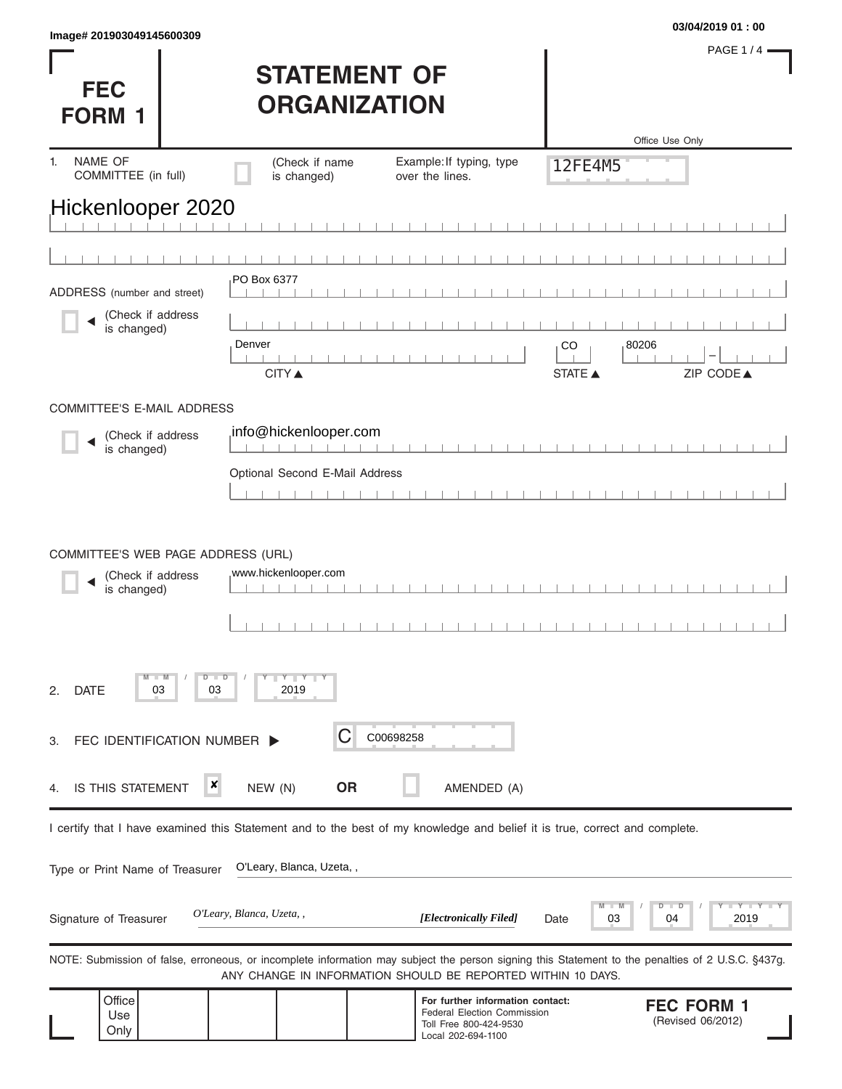|                           | 03/04/2019 01:00 |
|---------------------------|------------------|
| lmage# 201903049145600309 |                  |

**FEC** 

PAGE 1 / 4

| <b>STATEMENT OF</b> |
|---------------------|
| <b>ORGANIZATION</b> |

| <b>FORM 1</b>                               |                           | UNUANIZATIVN                                                                |                                                                                                                                                                                                                   |                                |                                        |
|---------------------------------------------|---------------------------|-----------------------------------------------------------------------------|-------------------------------------------------------------------------------------------------------------------------------------------------------------------------------------------------------------------|--------------------------------|----------------------------------------|
|                                             |                           |                                                                             |                                                                                                                                                                                                                   |                                | Office Use Only                        |
| NAME OF<br>1.<br>COMMITTEE (in full)        |                           | (Check if name<br>is changed)                                               | Example: If typing, type<br>over the lines.                                                                                                                                                                       | 12FE4M5                        |                                        |
| Hickenlooper 2020                           |                           |                                                                             |                                                                                                                                                                                                                   |                                |                                        |
|                                             |                           |                                                                             |                                                                                                                                                                                                                   |                                |                                        |
|                                             |                           |                                                                             |                                                                                                                                                                                                                   |                                |                                        |
| ADDRESS (number and street)                 |                           | PO Box 6377                                                                 |                                                                                                                                                                                                                   |                                |                                        |
| (Check if address<br>is changed)            |                           | Denver                                                                      |                                                                                                                                                                                                                   | CO                             | 80206                                  |
|                                             |                           | <b>CITY ▲</b>                                                               |                                                                                                                                                                                                                   | <b>STATE ▲</b>                 | ZIP CODE▲                              |
| <b>COMMITTEE'S E-MAIL ADDRESS</b>           |                           |                                                                             |                                                                                                                                                                                                                   |                                |                                        |
| (Check if address<br>is changed)            |                           | info@hickenlooper.com                                                       |                                                                                                                                                                                                                   |                                |                                        |
|                                             |                           | Optional Second E-Mail Address                                              |                                                                                                                                                                                                                   |                                |                                        |
|                                             |                           |                                                                             |                                                                                                                                                                                                                   |                                |                                        |
| (Check if address<br>is changed)            |                           | www.hickenlooper.com                                                        |                                                                                                                                                                                                                   |                                |                                        |
| $\blacksquare$ M<br><b>DATE</b><br>03<br>2. | D<br>$\blacksquare$<br>03 | $\begin{array}{c c c c c} \hline & Y & Y & Y \\ \hline \end{array}$<br>2019 |                                                                                                                                                                                                                   |                                |                                        |
| FEC IDENTIFICATION NUMBER  <br>З.           |                           | С                                                                           | C00698258                                                                                                                                                                                                         |                                |                                        |
| IS THIS STATEMENT<br>4.                     | ×                         | <b>OR</b><br>NEW (N)                                                        | AMENDED (A)                                                                                                                                                                                                       |                                |                                        |
|                                             |                           |                                                                             | I certify that I have examined this Statement and to the best of my knowledge and belief it is true, correct and complete.                                                                                        |                                |                                        |
| Type or Print Name of Treasurer             |                           | O'Leary, Blanca, Uzeta,,                                                    |                                                                                                                                                                                                                   |                                |                                        |
| Signature of Treasurer                      |                           | O'Leary, Blanca, Uzeta, ,                                                   | [Electronically Filed]                                                                                                                                                                                            | $\blacksquare$ M<br>03<br>Date | Y L<br>D<br>D<br>2019<br>04            |
|                                             |                           |                                                                             | NOTE: Submission of false, erroneous, or incomplete information may subject the person signing this Statement to the penalties of 2 U.S.C. §437g.<br>ANY CHANGE IN INFORMATION SHOULD BE REPORTED WITHIN 10 DAYS. |                                |                                        |
| Office<br>Use<br>Only                       |                           |                                                                             | For further information contact:<br>Federal Election Commission<br>Toll Free 800-424-9530<br>Local 202-694-1100                                                                                                   |                                | <b>FEC FORM 1</b><br>(Revised 06/2012) |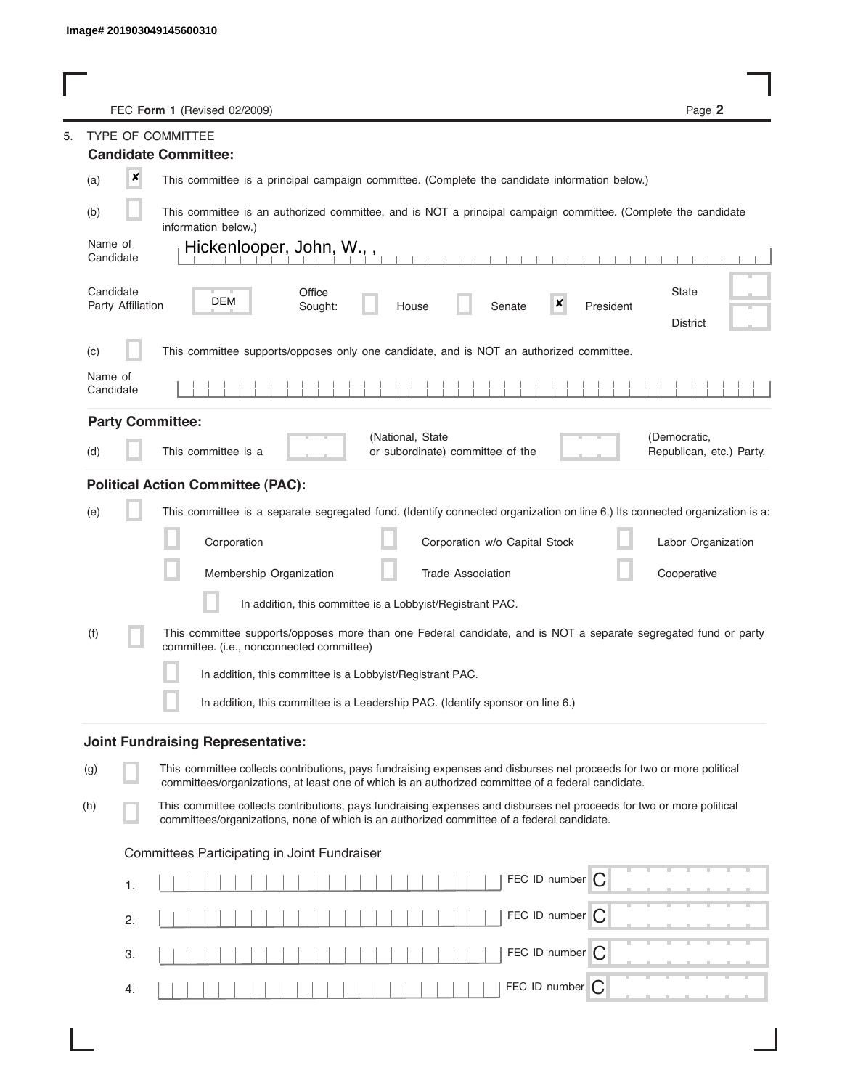|         |                                | FEC Form 1 (Revised 02/2009)                                                                                                                                                                                                | Page 2                                   |
|---------|--------------------------------|-----------------------------------------------------------------------------------------------------------------------------------------------------------------------------------------------------------------------------|------------------------------------------|
| 5.      |                                | <b>TYPE OF COMMITTEE</b>                                                                                                                                                                                                    |                                          |
|         |                                | <b>Candidate Committee:</b>                                                                                                                                                                                                 |                                          |
| (a)     | ×                              | This committee is a principal campaign committee. (Complete the candidate information below.)                                                                                                                               |                                          |
| (b)     |                                | This committee is an authorized committee, and is NOT a principal campaign committee. (Complete the candidate<br>information below.)                                                                                        |                                          |
| Name of | Candidate                      | Hickenlooper, John, W.,,                                                                                                                                                                                                    |                                          |
|         | Candidate<br>Party Affiliation | Office<br>DEM<br>×<br>Sought:<br>Senate<br>President<br>House                                                                                                                                                               | <b>State</b><br><b>District</b>          |
| (c)     |                                | This committee supports/opposes only one candidate, and is NOT an authorized committee.                                                                                                                                     |                                          |
| Name of | Candidate                      |                                                                                                                                                                                                                             |                                          |
|         |                                | <b>Party Committee:</b>                                                                                                                                                                                                     |                                          |
| (d)     |                                | (National, State<br>This committee is a<br>or subordinate) committee of the                                                                                                                                                 | (Democratic,<br>Republican, etc.) Party. |
|         |                                | <b>Political Action Committee (PAC):</b>                                                                                                                                                                                    |                                          |
| (e)     |                                | This committee is a separate segregated fund. (Identify connected organization on line 6.) Its connected organization is a:                                                                                                 |                                          |
|         |                                | Corporation<br>Corporation w/o Capital Stock                                                                                                                                                                                | Labor Organization                       |
|         |                                | Membership Organization<br><b>Trade Association</b>                                                                                                                                                                         | Cooperative                              |
|         |                                | In addition, this committee is a Lobbyist/Registrant PAC.                                                                                                                                                                   |                                          |
| (f)     |                                | This committee supports/opposes more than one Federal candidate, and is NOT a separate segregated fund or party<br>committee. (i.e., nonconnected committee)                                                                |                                          |
|         |                                | In addition, this committee is a Lobbyist/Registrant PAC.                                                                                                                                                                   |                                          |
|         |                                | In addition, this committee is a Leadership PAC. (Identify sponsor on line 6.)                                                                                                                                              |                                          |
|         |                                | <b>Joint Fundraising Representative:</b>                                                                                                                                                                                    |                                          |
| (g)     |                                | This committee collects contributions, pays fundraising expenses and disburses net proceeds for two or more political<br>committees/organizations, at least one of which is an authorized committee of a federal candidate. |                                          |
| (h)     |                                | This committee collects contributions, pays fundraising expenses and disburses net proceeds for two or more political<br>committees/organizations, none of which is an authorized committee of a federal candidate.         |                                          |
|         |                                | Committees Participating in Joint Fundraiser                                                                                                                                                                                |                                          |
|         | 1.                             | FEC ID number $\bigcap$                                                                                                                                                                                                     |                                          |
|         | 2.                             | FEC ID number   C                                                                                                                                                                                                           |                                          |
|         | 3.                             | FEC ID number   C                                                                                                                                                                                                           |                                          |
|         | 4.                             | FEC ID number<br>C                                                                                                                                                                                                          |                                          |

I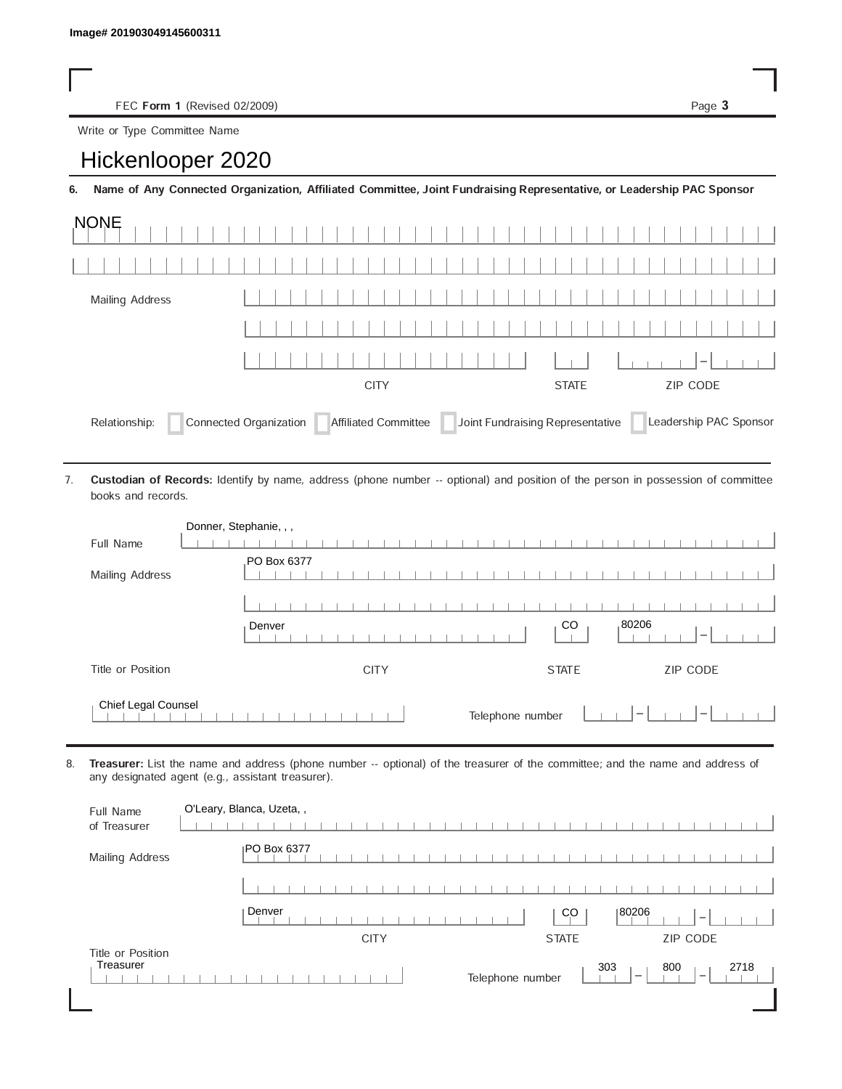FEC Form 1 (Revised 02/2009) Page 3

## Write or Type Committee Name

| lmage#201903049145600311     |  |  |  |
|------------------------------|--|--|--|
|                              |  |  |  |
|                              |  |  |  |
| FEC Form 1 (Revised 02/2009) |  |  |  |
| Write or Type Committee Name |  |  |  |
| Hickenlooper 2020            |  |  |  |

6. Name of Any Connected Organization, Affiliated Committee, Joint Fundraising Representative, or Leadership PAC Sponsor

| <b>NONE</b>                                                                                                                |              |          |         |  |  |  |
|----------------------------------------------------------------------------------------------------------------------------|--------------|----------|---------|--|--|--|
|                                                                                                                            |              |          |         |  |  |  |
| Mailing Address                                                                                                            |              |          |         |  |  |  |
|                                                                                                                            |              |          |         |  |  |  |
|                                                                                                                            |              |          | $1 - 1$ |  |  |  |
|                                                                                                                            | <b>STATE</b> | ZIP CODE |         |  |  |  |
| Affiliated Committee Joint Fundraising Representative<br>Connected Organization<br>Leadership PAC Sponsor<br>Relationship: |              |          |         |  |  |  |

Custodian of Records: Identify by name, address (phone number -- optional) and position of the person in possession of committee books and records. 7.

|                     | Donner, Stephanie, , ,                     |
|---------------------|--------------------------------------------|
| Full Name           |                                            |
| Mailing Address     | PO Box 6377                                |
|                     |                                            |
|                     | 80206<br>CO<br>Denver<br>$\hspace{0.05cm}$ |
| Title or Position   | ZIP CODE<br><b>CITY</b><br><b>STATE</b>    |
| Chief Legal Counsel | Telephone number<br>$\hspace{0.1mm}$       |

8. Treasurer: List the name and address (phone number -- optional) of the treasurer of the committee; and the name and address of any designated agent (e.g., assistant treasurer).

| Full Name<br>of Treasurer      | O'Leary, Blanca, Uzeta,, |                  |              |                                 |                                         |
|--------------------------------|--------------------------|------------------|--------------|---------------------------------|-----------------------------------------|
| Mailing Address                | <b>PO Box 6377</b>       |                  |              |                                 |                                         |
|                                |                          |                  |              |                                 |                                         |
|                                | Denver                   |                  | CO           | 80206                           | $\overline{\phantom{a}}$                |
|                                | <b>CITY</b>              |                  | <b>STATE</b> |                                 | <b>ZIP CODE</b>                         |
| Title or Position<br>Treasurer |                          | Telephone number |              | 303<br>$\overline{\phantom{a}}$ | 2718<br>800<br>$\overline{\phantom{a}}$ |